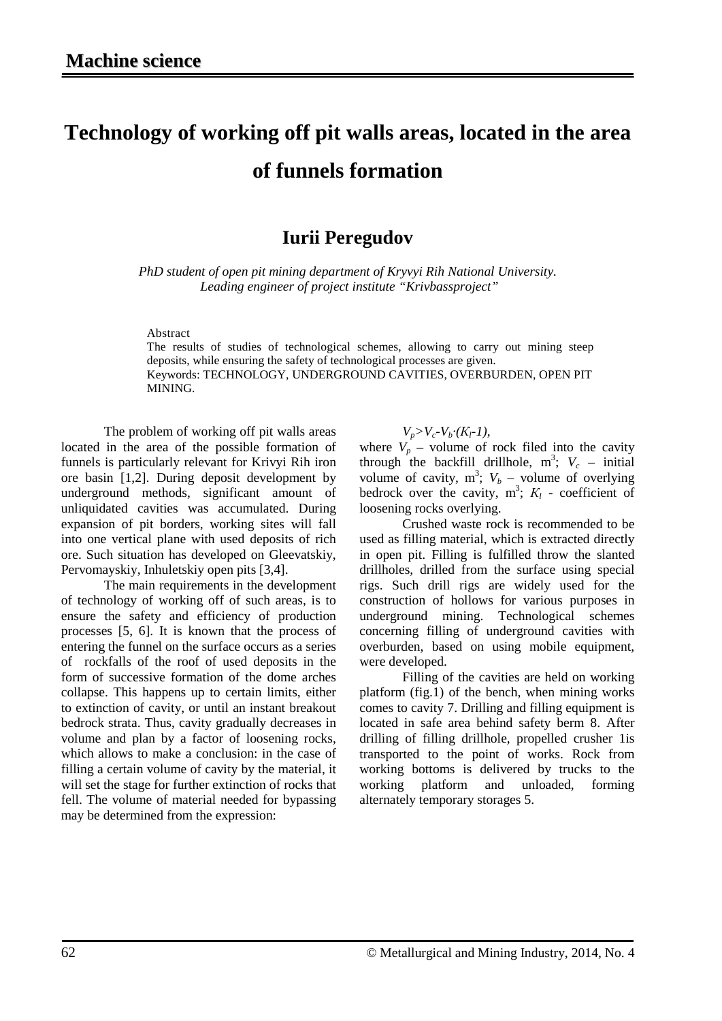## **Technology of working off pit walls areas, located in the area of funnels formation**

## **Iurii Peregudov**

*PhD student of open pit mining department of Kryvyi Rih National University. Leading engineer of project institute "Krivbassproject"*

Abstract

The results of studies of technological schemes, allowing to carry out mining steep deposits, while ensuring the safety of technological processes are given. Keywords: TECHNOLOGY, UNDERGROUND CAVITIES, OVERBURDEN, OPEN PIT MINING.

The problem of working off pit walls areas located in the area of the possible formation of funnels is particularly relevant for Krivyi Rih iron ore basin [1,2]. During deposit development by underground methods, significant amount of unliquidated cavities was accumulated. During expansion of pit borders, working sites will fall into one vertical plane with used deposits of rich ore. Such situation has developed on Gleevatskiy, Pervomayskiy, Inhuletskiy open pits [3,4].

The main requirements in the development of technology of working off of such areas, is to ensure the safety and efficiency of production processes [5, 6]. It is known that the process of entering the funnel on the surface occurs as a series of rockfalls of the roof of used deposits in the form of successive formation of the dome arches collapse. This happens up to certain limits, either to extinction of cavity, or until an instant breakout bedrock strata. Thus, cavity gradually decreases in volume and plan by a factor of loosening rocks, which allows to make a conclusion: in the case of filling a certain volume of cavity by the material, it will set the stage for further extinction of rocks that fell. The volume of material needed for bypassing may be determined from the expression:

 $V_p > V_c - V_b \cdot (K_l - 1)$ ,

where  $V_p$  – volume of rock filed into the cavity through the backfill drillhole,  $m^3$ ;  $V_c$  – initial volume of cavity,  $m^3$ ;  $V_b$  – volume of overlying bedrock over the cavity,  $m^3$ ;  $K_l$  - coefficient of loosening rocks overlying.

Crushed waste rock is recommended to be used as filling material, which is extracted directly in open pit. Filling is fulfilled throw the slanted drillholes, drilled from the surface using special rigs. Such drill rigs are widely used for the construction of hollows for various purposes in underground mining. Technological schemes concerning filling of underground cavities with overburden, based on using mobile equipment, were developed.

Filling of the cavities are held on working platform (fig.1) of the bench, when mining works comes to cavity 7. Drilling and filling equipment is located in safe area behind safety berm 8. After drilling of filling drillhole, propelled crusher 1is transported to the point of works. Rock from working bottoms is delivered by trucks to the working platform and unloaded, forming alternately temporary storages 5.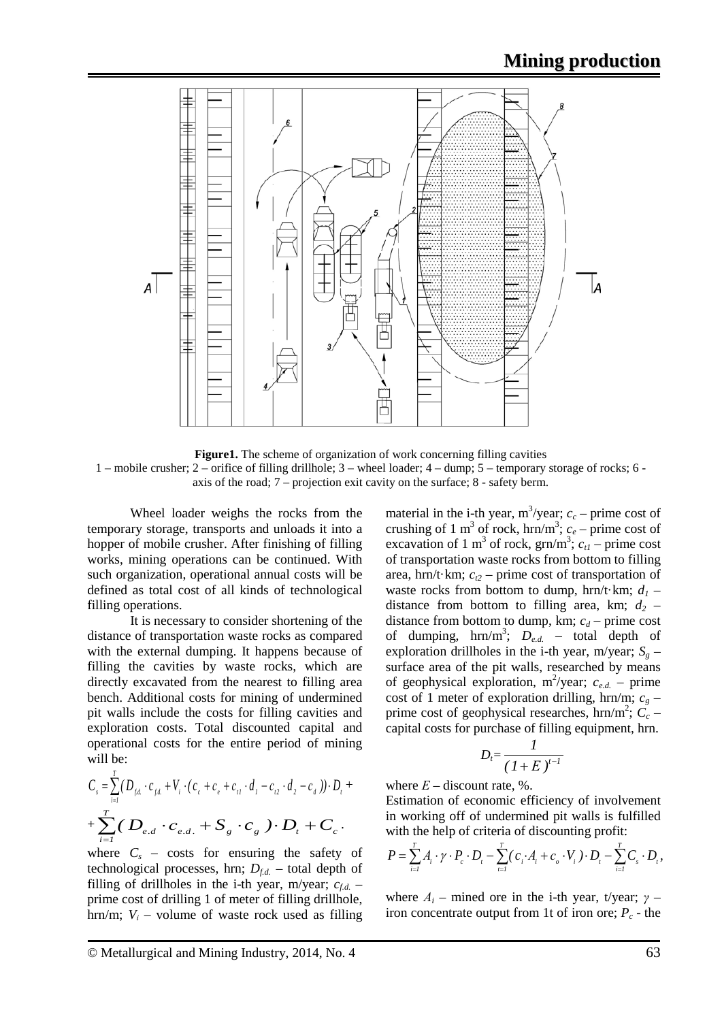

**Figure1.** The scheme of organization of work concerning filling cavities 1 – mobile crusher; 2 – orifice of filling drillhole; 3 – wheel loader; 4 – dump; 5 – temporary storage of rocks; 6 axis of the road; 7 – projection exit cavity on the surface; 8 - safety berm.

Wheel loader weighs the rocks from the temporary storage, transports and unloads it into a hopper of mobile crusher. After finishing of filling works, mining operations can be continued. With such organization, operational annual costs will be defined as total cost of all kinds of technological filling operations.

It is necessary to consider shortening of the distance of transportation waste rocks as compared with the external dumping. It happens because of filling the cavities by waste rocks, which are directly excavated from the nearest to filling area bench. Additional costs for mining of undermined pit walls include the costs for filling cavities and exploration costs. Total discounted capital and operational costs for the entire period of mining will be:

$$
C_{s} = \sum_{i=1}^{I} (D_{f.d} \cdot c_{f.d} + V_{i} \cdot (c_{e} + c_{e} + c_{i1} \cdot d_{i} - c_{i2} \cdot d_{i} - c_{d}) \cdot D_{t} +
$$
  
+ 
$$
\sum_{i=1}^{T} (D_{e.d} \cdot C_{e.d.} + S_{g} \cdot C_{g}) \cdot D_{t} + C_{c}.
$$

where  $C_s$  – costs for ensuring the safety of technological processes, hrn;  $D_{f,d}$  – total depth of filling of drillholes in the i-th year, m/year;  $c_{fd}$  – prime cost of drilling 1 of meter of filling drillhole, hrn/m;  $V_i$  – volume of waste rock used as filling

material in the i-th year,  $m^3$ /year;  $c_c$  – prime cost of crushing of 1 m<sup>3</sup> of rock, hrn/m<sup>3</sup>;  $c_e$  – prime cost of excavation of 1 m<sup>3</sup> of rock, grn/m<sup>3</sup>;  $c_{t1}$  – prime cost of transportation waste rocks from bottom to filling area, hrn/t·km;  $c_{t2}$  – prime cost of transportation of waste rocks from bottom to dump, hrn/t·km;  $d_1$  – distance from bottom to filling area, km;  $d_2$  – distance from bottom to dump, km;  $c_d$  – prime cost of dumping,  $hrn/m^3$ ;  $D_{e.d.}$  – total depth of exploration drillholes in the i-th year, m/year;  $S_g$  – surface area of the pit walls, researched by means of geophysical exploration,  $m^2$ /year;  $c_{e.d.}$  – prime cost of 1 meter of exploration drilling, hrn/m;  $c_g$  – prime cost of geophysical researches,  $hrn/m^2$ ;  $C_c$  – capital costs for purchase of filling equipment, hrn.

$$
D_t = \frac{1}{\left(1 + E\right)^{t-1}}
$$

where  $E -$  discount rate, %.

Estimation of economic efficiency of involvement in working off of undermined pit walls is fulfilled with the help of criteria of discounting profit:

$$
P = \sum_{i=1}^T A_i \cdot \gamma \cdot P_c \cdot D_t - \sum_{i=1}^T (c_i \cdot A_i + c_o \cdot V_i) \cdot D_t - \sum_{i=1}^T C_s \cdot D_t,
$$

where  $A_i$  – mined ore in the i-th year, t/year;  $\gamma$  – iron concentrate output from 1t of iron ore;  $P_c$  - the